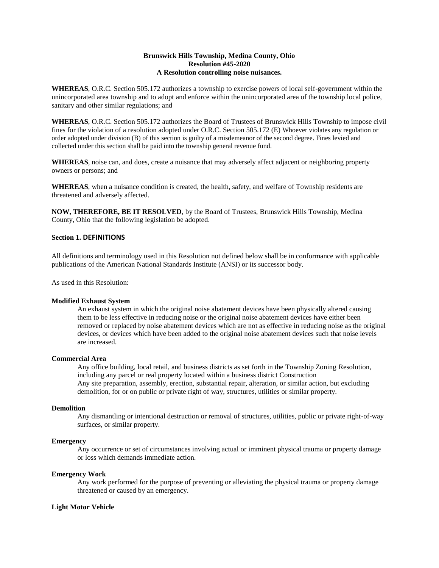## **Brunswick Hills Township, Medina County, Ohio Resolution #45-2020 A Resolution controlling noise nuisances.**

**WHEREAS**, O.R.C. Section 505.172 authorizes a township to exercise powers of local self-government within the unincorporated area township and to adopt and enforce within the unincorporated area of the township local police, sanitary and other similar regulations; and

**WHEREAS**, O.R.C. Section 505.172 authorizes the Board of Trustees of Brunswick Hills Township to impose civil fines for the violation of a resolution adopted under O.R.C. Section 505.172 (E) Whoever violates any regulation or order adopted under division (B) of this section is guilty of a misdemeanor of the second degree. Fines levied and collected under this section shall be paid into the township general revenue fund.

**WHEREAS**, noise can, and does, create a nuisance that may adversely affect adjacent or neighboring property owners or persons; and

**WHEREAS**, when a nuisance condition is created, the health, safety, and welfare of Township residents are threatened and adversely affected.

**NOW, THEREFORE, BE IT RESOLVED**, by the Board of Trustees, Brunswick Hills Township, Medina County, Ohio that the following legislation be adopted.

## **Section 1. DEFINITIONS**

All definitions and terminology used in this Resolution not defined below shall be in conformance with applicable publications of the American National Standards Institute (ANSI) or its successor body.

As used in this Resolution:

### **Modified Exhaust System**

An exhaust system in which the original noise abatement devices have been physically altered causing them to be less effective in reducing noise or the original noise abatement devices have either been removed or replaced by noise abatement devices which are not as effective in reducing noise as the original devices, or devices which have been added to the original noise abatement devices such that noise levels are increased.

### **Commercial Area**

Any office building, local retail, and business districts as set forth in the Township Zoning Resolution, including any parcel or real property located within a business district Construction Any site preparation, assembly, erection, substantial repair, alteration, or similar action, but excluding demolition, for or on public or private right of way, structures, utilities or similar property.

#### **Demolition**

Any dismantling or intentional destruction or removal of structures, utilities, public or private right-of-way surfaces, or similar property.

## **Emergency**

Any occurrence or set of circumstances involving actual or imminent physical trauma or property damage or loss which demands immediate action.

### **Emergency Work**

Any work performed for the purpose of preventing or alleviating the physical trauma or property damage threatened or caused by an emergency.

### **Light Motor Vehicle**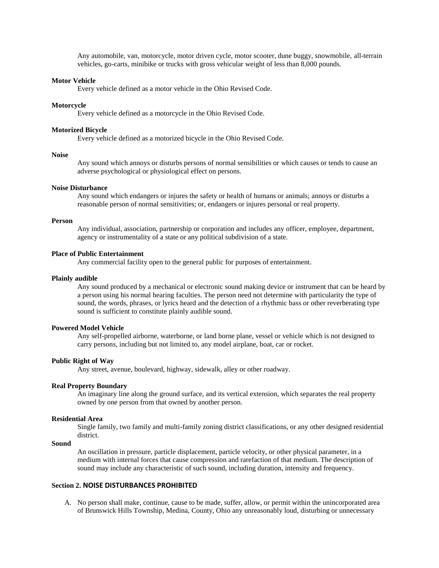Any automobile, van, motorcycle, motor driven cycle, motor scooter, dune buggy, snowmobile, all-terrain vehicles, go-carts, minibike or trucks with gross vehicular weight of less than 8,000 pounds.

## **Motor Vehicle**

Every vehicle defined as a motor vehicle in the Ohio Revised Code.

#### **Motorcycle**

Every vehicle defined as a motorcycle in the Ohio Revised Code.

### **Motorized Bicycle**

Every vehicle defined as a motorized bicycle in the Ohio Revised Code.

### **Noise**

Any sound which annoys or disturbs persons of normal sensibilities or which causes or tends to cause an adverse psychological or physiological effect on persons.

### **Noise Disturbance**

Any sound which endangers or injures the safety or health of humans or animals; annoys or disturbs a reasonable person of normal sensitivities; or, endangers or injures personal or real property.

#### **Person**

Any individual, association, partnership or corporation and includes any officer, employee, department, agency or instrumentality of a state or any political subdivision of a state.

#### **Place of Public Entertainment**

Any commercial facility open to the general public for purposes of entertainment.

#### **Plainly audible**

Any sound produced by a mechanical or electronic sound making device or instrument that can be heard by a person using his normal hearing faculties. The person need not determine with particularity the type of sound, the words, phrases, or lyrics heard and the detection of a rhythmic bass or other reverberating type sound is sufficient to constitute plainly audible sound.

### **Powered Model Vehicle**

Any self-propelled airborne, waterborne, or land borne plane, vessel or vehicle which is not designed to carry persons, including but not limited to, any model airplane, boat, car or rocket.

#### **Public Right of Way**

Any street, avenue, boulevard, highway, sidewalk, alley or other roadway.

#### **Real Property Boundary**

An imaginary line along the ground surface, and its vertical extension, which separates the real property owned by one person from that owned by another person.

#### **Residential Area**

Single family, two family and multi-family zoning district classifications, or any other designed residential district.

## **Sound**

An oscillation in pressure, particle displacement, particle velocity, or other physical parameter, in a medium with internal forces that cause compression and rarefaction of that medium. The description of sound may include any characteristic of such sound, including duration, intensity and frequency.

## **Section 2. NOISE DISTURBANCES PROHIBITED**

A. No person shall make, continue, cause to be made, suffer, allow, or permit within the unincorporated area of Brunswick Hills Township, Medina, County, Ohio any unreasonably loud, disturbing or unnecessary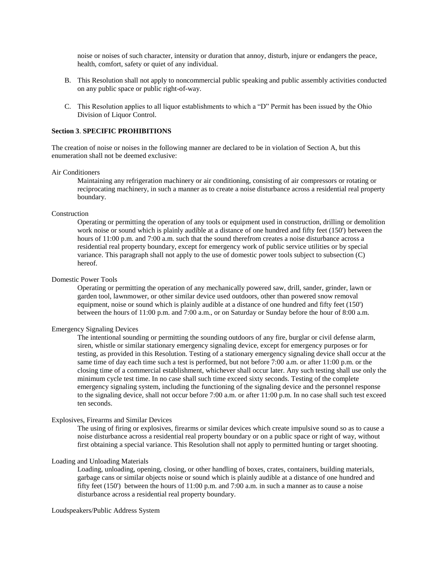noise or noises of such character, intensity or duration that annoy, disturb, injure or endangers the peace, health, comfort, safety or quiet of any individual.

- B. This Resolution shall not apply to noncommercial public speaking and public assembly activities conducted on any public space or public right-of-way.
- C. This Resolution applies to all liquor establishments to which a "D" Permit has been issued by the Ohio Division of Liquor Control.

### **Section 3**. **SPECIFIC PROHIBITIONS**

The creation of noise or noises in the following manner are declared to be in violation of Section A, but this enumeration shall not be deemed exclusive:

#### Air Conditioners

Maintaining any refrigeration machinery or air conditioning, consisting of air compressors or rotating or reciprocating machinery, in such a manner as to create a noise disturbance across a residential real property boundary.

### Construction

Operating or permitting the operation of any tools or equipment used in construction, drilling or demolition work noise or sound which is plainly audible at a distance of one hundred and fifty feet (150') between the hours of 11:00 p.m. and 7:00 a.m. such that the sound therefrom creates a noise disturbance across a residential real property boundary, except for emergency work of public service utilities or by special variance. This paragraph shall not apply to the use of domestic power tools subject to subsection (C) hereof.

### Domestic Power Tools

Operating or permitting the operation of any mechanically powered saw, drill, sander, grinder, lawn or garden tool, lawnmower, or other similar device used outdoors, other than powered snow removal equipment, noise or sound which is plainly audible at a distance of one hundred and fifty feet (150') between the hours of 11:00 p.m. and 7:00 a.m., or on Saturday or Sunday before the hour of 8:00 a.m.

#### Emergency Signaling Devices

The intentional sounding or permitting the sounding outdoors of any fire, burglar or civil defense alarm, siren, whistle or similar stationary emergency signaling device, except for emergency purposes or for testing, as provided in this Resolution. Testing of a stationary emergency signaling device shall occur at the same time of day each time such a test is performed, but not before 7:00 a.m. or after 11:00 p.m. or the closing time of a commercial establishment, whichever shall occur later. Any such testing shall use only the minimum cycle test time. In no case shall such time exceed sixty seconds. Testing of the complete emergency signaling system, including the functioning of the signaling device and the personnel response to the signaling device, shall not occur before 7:00 a.m. or after 11:00 p.m. In no case shall such test exceed ten seconds.

## Explosives, Firearms and Similar Devices

The using of firing or explosives, firearms or similar devices which create impulsive sound so as to cause a noise disturbance across a residential real property boundary or on a public space or right of way, without first obtaining a special variance. This Resolution shall not apply to permitted hunting or target shooting.

## Loading and Unloading Materials

Loading, unloading, opening, closing, or other handling of boxes, crates, containers, building materials, garbage cans or similar objects noise or sound which is plainly audible at a distance of one hundred and fifty feet (150') between the hours of 11:00 p.m. and 7:00 a.m. in such a manner as to cause a noise disturbance across a residential real property boundary.

### Loudspeakers/Public Address System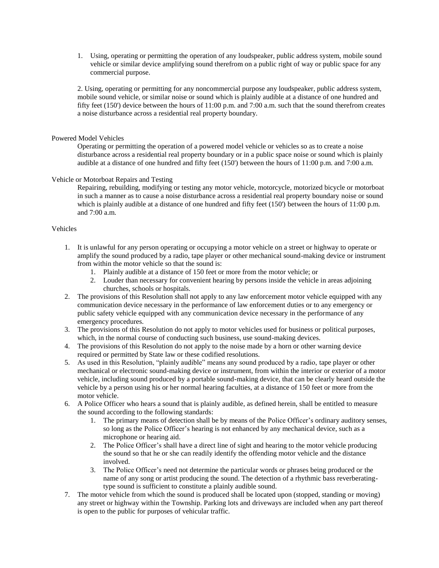1. Using, operating or permitting the operation of any loudspeaker, public address system, mobile sound vehicle or similar device amplifying sound therefrom on a public right of way or public space for any commercial purpose.

2. Using, operating or permitting for any noncommercial purpose any loudspeaker, public address system, mobile sound vehicle, or similar noise or sound which is plainly audible at a distance of one hundred and fifty feet (150') device between the hours of 11:00 p.m. and 7:00 a.m. such that the sound therefrom creates a noise disturbance across a residential real property boundary.

### Powered Model Vehicles

Operating or permitting the operation of a powered model vehicle or vehicles so as to create a noise disturbance across a residential real property boundary or in a public space noise or sound which is plainly audible at a distance of one hundred and fifty feet (150') between the hours of 11:00 p.m. and 7:00 a.m.

## Vehicle or Motorboat Repairs and Testing

Repairing, rebuilding, modifying or testing any motor vehicle, motorcycle, motorized bicycle or motorboat in such a manner as to cause a noise disturbance across a residential real property boundary noise or sound which is plainly audible at a distance of one hundred and fifty feet (150') between the hours of 11:00 p.m. and 7:00 a.m.

## Vehicles

- 1. It is unlawful for any person operating or occupying a motor vehicle on a street or highway to operate or amplify the sound produced by a radio, tape player or other mechanical sound-making device or instrument from within the motor vehicle so that the sound is:
	- 1. Plainly audible at a distance of 150 feet or more from the motor vehicle; or
	- 2. Louder than necessary for convenient hearing by persons inside the vehicle in areas adjoining churches, schools or hospitals.
- 2. The provisions of this Resolution shall not apply to any law enforcement motor vehicle equipped with any communication device necessary in the performance of law enforcement duties or to any emergency or public safety vehicle equipped with any communication device necessary in the performance of any emergency procedures.
- 3. The provisions of this Resolution do not apply to motor vehicles used for business or political purposes, which, in the normal course of conducting such business, use sound-making devices.
- 4. The provisions of this Resolution do not apply to the noise made by a horn or other warning device required or permitted by State law or these codified resolutions.
- 5. As used in this Resolution, "plainly audible" means any sound produced by a radio, tape player or other mechanical or electronic sound-making device or instrument, from within the interior or exterior of a motor vehicle, including sound produced by a portable sound-making device, that can be clearly heard outside the vehicle by a person using his or her normal hearing faculties, at a distance of 150 feet or more from the motor vehicle.
- 6. A Police Officer who hears a sound that is plainly audible, as defined herein, shall be entitled to measure the sound according to the following standards:
	- 1. The primary means of detection shall be by means of the Police Officer's ordinary auditory senses, so long as the Police Officer's hearing is not enhanced by any mechanical device, such as a microphone or hearing aid.
	- 2. The Police Officer's shall have a direct line of sight and hearing to the motor vehicle producing the sound so that he or she can readily identify the offending motor vehicle and the distance involved.
	- 3. The Police Officer's need not determine the particular words or phrases being produced or the name of any song or artist producing the sound. The detection of a rhythmic bass reverberatingtype sound is sufficient to constitute a plainly audible sound.
- 7. The motor vehicle from which the sound is produced shall be located upon (stopped, standing or moving) any street or highway within the Township. Parking lots and driveways are included when any part thereof is open to the public for purposes of vehicular traffic.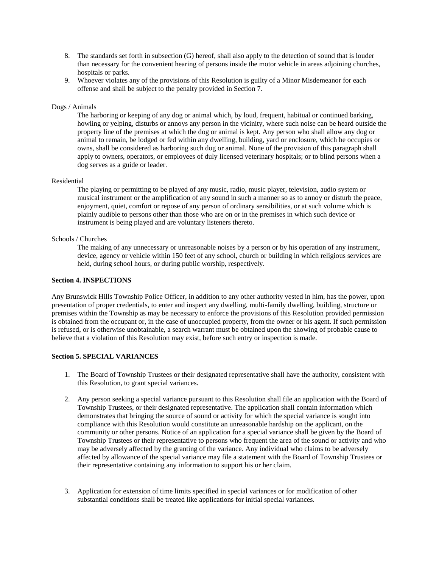- 8. The standards set forth in subsection (G) hereof, shall also apply to the detection of sound that is louder than necessary for the convenient hearing of persons inside the motor vehicle in areas adjoining churches, hospitals or parks.
- 9. Whoever violates any of the provisions of this Resolution is guilty of a Minor Misdemeanor for each offense and shall be subject to the penalty provided in Section 7.

### Dogs / Animals

The harboring or keeping of any dog or animal which, by loud, frequent, habitual or continued barking, howling or yelping, disturbs or annoys any person in the vicinity, where such noise can be heard outside the property line of the premises at which the dog or animal is kept. Any person who shall allow any dog or animal to remain, be lodged or fed within any dwelling, building, yard or enclosure, which he occupies or owns, shall be considered as harboring such dog or animal. None of the provision of this paragraph shall apply to owners, operators, or employees of duly licensed veterinary hospitals; or to blind persons when a dog serves as a guide or leader.

### Residential

The playing or permitting to be played of any music, radio, music player, television, audio system or musical instrument or the amplification of any sound in such a manner so as to annoy or disturb the peace, enjoyment, quiet, comfort or repose of any person of ordinary sensibilities, or at such volume which is plainly audible to persons other than those who are on or in the premises in which such device or instrument is being played and are voluntary listeners thereto.

### Schools / Churches

The making of any unnecessary or unreasonable noises by a person or by his operation of any instrument, device, agency or vehicle within 150 feet of any school, church or building in which religious services are held, during school hours, or during public worship, respectively.

### **Section 4. INSPECTIONS**

Any Brunswick Hills Township Police Officer, in addition to any other authority vested in him, has the power, upon presentation of proper credentials, to enter and inspect any dwelling, multi-family dwelling, building, structure or premises within the Township as may be necessary to enforce the provisions of this Resolution provided permission is obtained from the occupant or, in the case of unoccupied property, from the owner or his agent. If such permission is refused, or is otherwise unobtainable, a search warrant must be obtained upon the showing of probable cause to believe that a violation of this Resolution may exist, before such entry or inspection is made.

## **Section 5. SPECIAL VARIANCES**

- 1. The Board of Township Trustees or their designated representative shall have the authority, consistent with this Resolution, to grant special variances.
- 2. Any person seeking a special variance pursuant to this Resolution shall file an application with the Board of Township Trustees, or their designated representative. The application shall contain information which demonstrates that bringing the source of sound or activity for which the special variance is sought into compliance with this Resolution would constitute an unreasonable hardship on the applicant, on the community or other persons. Notice of an application for a special variance shall be given by the Board of Township Trustees or their representative to persons who frequent the area of the sound or activity and who may be adversely affected by the granting of the variance. Any individual who claims to be adversely affected by allowance of the special variance may file a statement with the Board of Township Trustees or their representative containing any information to support his or her claim.
- 3. Application for extension of time limits specified in special variances or for modification of other substantial conditions shall be treated like applications for initial special variances.